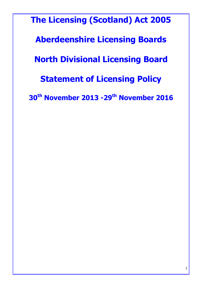The Licensing (Scotland) Act 2005 Aberdeenshire Licensing Boards North Divisional Licensing Board Statement of Licensing Policy 30th November 2013 -29th November 2016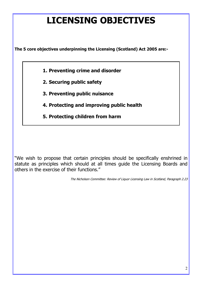# LICENSING OBJECTIVES

The 5 core objectives underpinning the Licensing (Scotland) Act 2005 are:-

- 1. Preventing crime and disorder
- 2. Securing public safety
- 3. Preventing public nuisance
- 4. Protecting and improving public health
- 5. Protecting children from harm

"We wish to propose that certain principles should be specifically enshrined in statute as principles which should at all times guide the Licensing Boards and others in the exercise of their functions."

The Nicholson Committee: Review of Liquor Licensing Law in Scotland, Paragraph 2.23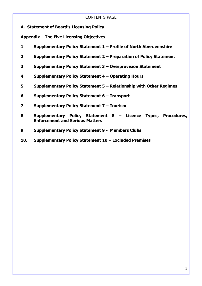### CONTENTS PAGE

A. Statement of Board's Licensing Policy

Appendix – The Five Licensing Objectives

- 1. Supplementary Policy Statement 1 Profile of North Aberdeenshire
- 2. Supplementary Policy Statement 2 Preparation of Policy Statement
- 3. Supplementary Policy Statement 3 Overprovision Statement
- 4. Supplementary Policy Statement 4 Operating Hours
- 5. Supplementary Policy Statement 5 Relationship with Other Regimes
- 6. Supplementary Policy Statement 6 Transport
- 7. Supplementary Policy Statement 7 Tourism
- 8. Supplementary Policy Statement 8 Licence Types, Procedures, Enforcement and Serious Matters
- 9. Supplementary Policy Statement 9 Members Clubs
- 10. Supplementary Policy Statement 10 Excluded Premises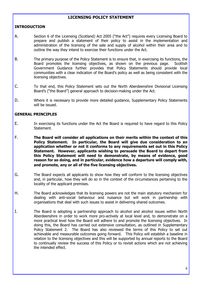# LICENSING POLICY STATEMENT

#### INTRODUCTION

- A. Section 6 of the Licensing (Scotland) Act 2005 ("the Act") requires every Licensing Board to prepare and publish a statement of their policy to assist in the implementation and administration of the licensing of the sale and supply of alcohol within their area and to outline the way they intend to exercise their functions under the Act.
- B. The primary purpose of the Policy Statement is to ensure that, in exercising its functions, the Board promotes the licensing objectives, as shown on the previous page. Scottish Government Guidance further provides that Policy Statements should provide local communities with a clear indication of the Board's policy as well as being consistent with the licensing objectives.
- C. To that end, this Policy Statement sets out the North Aberdeenshire Divisional Licensing Board's ("the Board") general approach to decision-making under the Act.
- D. Where it is necessary to provide more detailed guidance, Supplementary Policy Statements will be issued.

#### GENERAL PRINCIPLES

- E. In exercising its functions under the Act the Board is required to have regard to this Policy Statement.
- F. The Board will consider all applications on their merits within the context of this Policy Statement. In particular, the Board will give due consideration to an application whether or not it conforms to any requirements set out in this Policy Statement. However, applicants wishing to persuade the Board to depart from this Policy Statement will need to demonstrate, by means of evidence, good reason for so doing, and in particular, evidence how a departure will comply with, and promote, any or all of the five licensing objectives.
- G. The Board expects all applicants to show how they will conform to the licensing objectives and, in particular, how they will do so in the context of the circumstances pertaining to the locality of the applicant premises.
- H. The Board acknowledges that its licensing powers are not the main statutory mechanism for dealing with anti-social behaviour and nuisance but will work in partnership with organisations that deal with such issues to assist in delivering shared outcomes.
- I. The Board is adopting a partnership approach to alcohol and alcohol issues within North Aberdeenshire in order to work more pro-actively at local level and, to demonstrate on a more practical level how the Board will adhere to and promote the licensing objectives. In doing this, the Board has carried out extensive consultation, as outlined in Supplementary Policy Statement 2. The Board has also reviewed the terms of this Policy to set out achievable and measurable outcomes going forward. This Policy will establish a baseline in relation to the licensing objectives and this will be supported by annual reports to the Board to continually review the success of this Policy or to revisit actions which are not achieving the intended effect.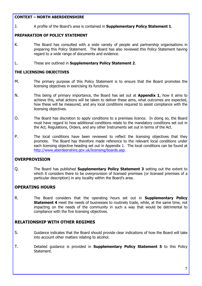#### CONTEXT – NORTH ABERDEENSHIRE

J. A profile of the Board's area is contained in **Supplementary Policy Statement 1.** 

#### PREPARATION OF POLICY STATEMENT

- K. The Board has consulted with a wide variety of people and partnership organisations in preparing this Policy Statement. The Board has also reviewed this Policy Statement having regard to a wide range of documents and evidence.
- L. These are outlined in Supplementary Policy Statement 2.

### THE LICENSING OBJECTIVES

- M. The primary purpose of this Policy Statement is to ensure that the Board promotes the licensing objectives in exercising its functions.
- N. This being of primary importance, the Board has set out at **Appendix 1**, how it aims to achieve this, what actions will be taken to deliver these aims, what outcomes are expected, how these will be measured, and any local conditions required to assist compliance with the licensing objectives.
- O. The Board has discretion to apply conditions to a premises licence. In doing so, the Board must have regard to how additional conditions relate to the mandatory conditions set out in the Act, Regulations, Orders, and any other Instruments set out in terms of the Act.
- P. The local conditions have been reviewed to reflect the licensing objectives that they promote. The Board has therefore made reference to the relevant local conditions under each licensing objective heading set out in Appendix 1. The local conditions can be found at http://www.aberdeenshire.gov.uk/licensing/boards.asp.

# **OVERPROVISION**

Q. The Board has published **Supplementary Policy Statement 3** setting out the extent to which it considers there to be overprovision of licensed premises (or licensed premises of a particular description) in any locality within the Board's area.

# OPERATING HOURS

R. The Board considers that the operating hours set out in **Supplementary Policy Statement 4** meet the needs of businesses to routinely trade, while, at the same time, not impacting on the needs of the community in such a way that would be detrimental to compliance with the five licensing objectives.

# RELATIONSHIP WITH OTHER REGIMES

- S. Guidance indicates that the Board should provide clear indications of how the Board will take into account other matters relating to alcohol.
- T. Detailed guidance is provided in **Supplementary Policy Statement 5** to this Policy Statement.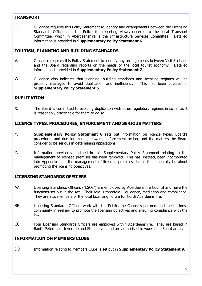### TRANSPORT

U. Guidance requires this Policy Statement to identify any arrangements between the Licensing Standards Officer and the Police for reporting views/concerns to the local Transport Committee, which in Aberdeenshire is the Infrastructure Services Committee. Detailed information is provided in Supplementary Policy Statement 6.

# TOURISM, PLANNING AND BUILDING STANDARDS

- V. Guidance requires this Policy Statement to identify any arrangements between Visit Scotland and the Board regarding reports on the needs of the local tourist economy. Detailed information is provided in **Supplementary Policy Statement 7.**
- W. Guidance also indicates that planning, building standards and licensing regimes will be properly managed to avoid duplication and inefficiency. This has been covered in Supplementary Policy Statement 5.

# DUPLICATION

X. The Board is committed to avoiding duplication with other regulatory regimes in so far as it is reasonably practicable for them to do so.

# LICENCE TYPES, PROCEDURES, ENFORCEMENT AND SERIOUS MATTERS

- Y. Supplementary Policy Statement 8 sets out information on licence types, Board's procedures and decision-making powers, enforcement action, and the matters the Board consider to be serious in determining applications.
- Z. Information previously outlined in this Supplementary Policy Statement relating to the management of licensed premises has been removed. This has, instead, been incorporated into Appendix 1 as the management of licensed premises should fundamentally be about promoting the licensing objectives.

### LICENSING STANDARDS OFFICERS

- AA. Licensing Standards Officers ("LSOs") are employed by Aberdeenshire Council and have the functions set out in the Act. Their role is threefold – guidance, mediation and compliance. They are also members of the local Licensing Forum for North Aberdeenshire.
- BB. Licensing Standards Officers work with the Public, the Council's partners and the business community in seeking to promote the licensing objectives and ensuring compliance with the law.
- CC. Four Licensing Standards Officers are employed within Aberdeenshire. They are based in Banff, Peterhead, Inverurie and Stonehaven and are authorised to work in all Board areas.

### INFORMATION ON MEMBERS CLUBS

DD. Information relating to Members Clubs is set out in **Supplementary Policy Statement 9.**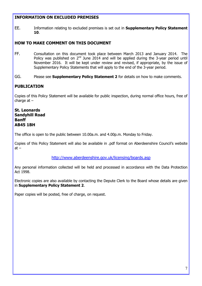# INFORMATION ON EXCLUDED PREMISES

EE. Information relating to excluded premises is set out in **Supplementary Policy Statement** 10.

# HOW TO MAKE COMMENT ON THIS DOCUMENT

FF. Consultation on this document took place between March 2013 and January 2014. The Policy was published on  $2^{nd}$  June 2014 and will be applied during the 3-year period until November 2016. It will be kept under review and revised, if appropriate, by the issue of Supplementary Policy Statements that will apply to the end of the 3-year period.

GG. Please see **Supplementary Policy Statement 2** for details on how to make comments.

# PUBLICATION

Copies of this Policy Statement will be available for public inspection, during normal office hours, free of charge  $at -$ 

### St. Leonards Sandyhill Road Banff AB45 1BH

The office is open to the public between 10.00a.m. and 4.00p.m. Monday to Friday.

Copies of this Policy Statement will also be available in .pdf format on Aberdeenshire Council's website  $at -$ 

#### http://www.aberdeenshire.gov.uk/licensing/boards.asp

Any personal information collected will be held and processed in accordance with the Data Protection Act 1998.

Electronic copies are also available by contacting the Depute Clerk to the Board whose details are given in Supplementary Policy Statement 2.

Paper copies will be posted, free of charge, on request.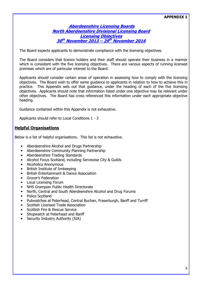#### APPENDIX 1

#### Aberdeenshire Licensing Boards North Aberdeenshire Divisional Licensing Board Licensing Objectives 30<sup>th</sup> November 2013 – 29<sup>th</sup> November 2016

The Board expects applicants to demonstrate compliance with the licensing objectives.

The Board considers that licence holders and their staff should operate their business in a manner which is consistent with the five licensing objectives. There are various aspects of running licensed premises which are of particular interest to the Board.

Applicants should consider certain areas of operation in assessing how to comply with the licensing objectives. The Board wish to offer some guidance to applicants in relation to how to achieve this in practice. This Appendix sets out that guidance, under the heading of each of the five licensing objectives. Applicants should note that information listed under one objective may be relevant under other objectives. The Board has cross referenced this information under each appropriate objective heading.

Guidance contained within this Appendix is not exhaustive.

Applicants should refer to Local Conditions 1 - 3

### Helpful Organisations

Below is a list of helpful organisations. This list is not exhaustive.

- Aberdeenshire Alcohol and Drugs Partnership
- Aberdeenshire Community Planning Partnership
- Aberdeenshire Trading Standards
- Alcohol Focus Scotland, including Servewise City & Guilds
- Alcoholics Anonymous
- British Institute of Innkeeping
- British Entertainment & Dance Association
- Grocer's Federation
- Local Licensing Forum
- NHS Grampian Public Health Directorate
- North, Central and South Aberdeenshire Alcohol and Drug Forums
- Police Scotland
- Pubwatches at Peterhead, Central Buchan, Fraserburgh, Banff and Turriff
- Scottish Licensed Trade Association
- Scottish Fire & Rescue Service
- Shopwatch at Peterhead and Banff
- Security Industry Authority (SIA)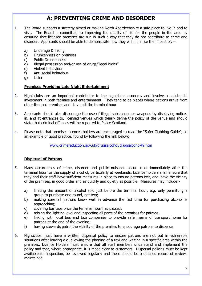# A: PREVENTING CRIME AND DISORDER

- 1. The Board supports a strategy aimed at making North Aberdeenshire a safe place to live in and to visit. The Board is committed to improving the quality of life for the people in the area by ensuring that licensed premises are run in such a way that they do not contribute to crime and disorder. Applicants should be able to demonstrate how they will minimise the impact of: –
	- a) Underage Drinking
	- b) Drunkenness on premises
	- c) Public Drunkenness
	- d) Illegal possession and/or use of drugs/"legal highs"
	- e) Violent behaviour
	- f) Anti-social behaviour
	- g) Litter

#### Premises Providing Late Night Entertainment

- 2. Night-clubs are an important contributor to the night-time economy and involve a substantial investment in both facilities and entertainment. They tend to be places where patrons arrive from other licensed premises and stay until the terminal hour.
- 3. Applicants should also discourage the use of illegal substances or weapons by displaying notices in, and at entrances to, licensed venues which clearly define the policy of the venue and should state that criminal offences will be reported to Police Scotland.
- 4. Please note that premises licences holders are encouraged to read the "Safer Clubbing Guide", as an example of good practice, found by following the link below:

#### www.crimereduction.gov.uk/drugsalcohol/drugsalcohol49.htm

#### Dispersal of Patrons

- 5. Many occurrences of crime, disorder and public nuisance occur at or immediately after the terminal hour for the supply of alcohol, particularly at weekends. Licence holders shall ensure that they and their staff have sufficient measures in place to ensure patrons exit, and leave the vicinity of the premises, in good order and as quickly and quietly as possible. Measures may include:
	- a) limiting the amount of alcohol sold just before the terminal hour, e.g. only permitting a group to purchase one round, not two;
	- b) making sure all patrons know well in advance the last time for purchasing alcohol is approaching;
	- c) covering bar taps once the terminal hour has passed;
	- d) raising the lighting level and inspecting all parts of the premises for patrons;
	- e) linking with local bus and taxi companies to provide safe means of transport home for patrons at the end of the evening;
	- f) having stewards patrol the vicinity of the premises to encourage patrons to disperse.
- 6. Nightclubs must have a written dispersal policy to ensure patrons are not put in vulnerable situations after leaving e.g. allowing the phoning of a taxi and waiting in a specific area within the premises. Licence Holders must ensure that all staff members understand and implement the policy and that, where appropriate, it is made clear to customers. Dispersal policies must be kept available for inspection, be reviewed regularly and there should be a detailed record of reviews maintained.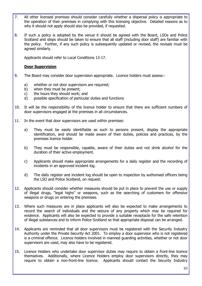- 7. All other licensed premises should consider carefully whether a dispersal policy is appropriate to the operation of their premises in complying with this licensing objective. Detailed reasons as to why it should not apply should also be provided, if requested.
- 8. If such a policy is adopted by the venue it should be agreed with the Board, LSOs and Police Scotland and steps should be taken to ensure that all staff (including door staff) are familiar with the policy. Further, if any such policy is subsequently updated or revised, the revisals must be agreed similarly.

Applicants should refer to Local Conditions 13-17.

#### Door Supervision

- 9. The Board may consider door supervision appropriate. Licence holders must assess:
	- a) whether or not door supervisors are required;
	- b) when they must be present;
	- c) the hours they should work; and
	- d) possible specification of particular duties and functions
- 10. It will be the responsibility of the licence holder to ensure that there are sufficient numbers of door supervisors engaged at the premises in all circumstances.
- 11. In the event that door supervisors are used within premises:
	- a) They must be easily identifiable as such to persons present, display the appropriate identification, and should be made aware of their duties, policies and practices, by the premises licence holder.
	- b) They must be responsible, capable, aware of their duties and not drink alcohol for the duration of their active employment.
	- c) Applicants should make appropriate arrangements for a daily register and the recording of incidents in an approved incident log.
	- d) The daily register and incident log should be open to inspection by authorised officers being the LSO and Police Scotland, on request.
- 12. Applicants should consider whether measures should be put in place to prevent the use or supply of illegal drugs, "legal highs" or weapons, such as the searching of customers for offensive weapons or drugs on entering the premises.
- 13. Where such measures are in place applicants will also be expected to make arrangements to record the search of individuals and the seizure of any property which may be required for evidence. Applicants will also be expected to provide a suitable receptacle for the safe retention of illegal substances and to inform Police Scotland so that appropriate disposal can be arranged.
- 14. Applicants are reminded that all door supervisors must be registered with the Security Industry Authority under the Private Security Act 2001. To employ a door supervisor who is not registered is a criminal offence. Licence holders involved in manned guarding activities, whether or not door supervisors are used, may also have to be registered.
- 15. Licence Holders who undertake door supervisor duties may require to obtain a front-line licence themselves. Additionally, where Licence Holders employ door supervisors directly, they may require to obtain a non-front-line licence. Applicants should contact the Security Industry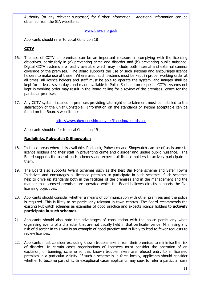Authority (or any relevant successor) for further information. Additional information can be obtained from the SIA website at

#### www.the-sia.org.uk

Applicants should refer to Local Condition 18

### **CCTV**

- 16. The use of CCTV on premises can be an important measure in complying with the licensing objectives, particularly in (a) preventing crime and disorder and (b) preventing public nuisance. Digital CCTV systems are readily available which may include both internal and external camera coverage of the premises. The Board supports the use of such systems and encourages licence holders to make use of these. Where used, such systems must be kept in proper working order at all times, all licence holders and staff must be able to operate the system, and images shall be kept for at least seven days and made available to Police Scotland on request. CCTV systems not kept in working order may result in the Board calling for a review of the premises licence for the particular premises.
- 17. Any CCTV system installed in premises providing late night entertainment must be installed to the satisfaction of the Chief Constable. Information on the standards of system acceptable can be found on the Board's website at:-

#### http://www.aberdeenshire.gov.uk/licensing/boards.asp

Applicants should refer to Local Condition 19

#### Radiolinks, Pubwatch & Shopwatch

- 18. In those areas where it is available, Radiolink, Pubwatch and Shopwatch can be of assistance to licence holders and their staff in preventing crime and disorder and undue public nuisance. The Board supports the use of such schemes and expects all licence holders to actively participate in them.
- 19. The Board also supports Award Schemes such as the Best Bar None scheme and Safer Towns Initiatives and encourages all licensed premises to participate in such schemes. Such schemes help to drive up standards both in the facilities of the premises and in the management and the manner that licensed premises are operated which the Board believes directly supports the five licensing objectives.
- 20. Applicants should consider whether a means of communication with other premises and the police is required. This is likely to be particularly relevant in town centres. The Board recommends the existing Pubwatch schemes as examples of good practice and expects licence holders to **actively** participate in such schemes.
- 21. Applicants should also note the advantages of consultation with the police particularly when organising events of a character that are not usually held in that particular venue. Minimising any risk of disorder in this way is an example of good practice and is likely to lead to fewer requests to review licences.
- 22. Applicants must consider excluding known troublemakers from their premises to minimise the risk of disorder. In certain cases organisations of licensees must consider the operation of an exclusion, or banning, scheme so that known troublemakers are refused entry to all licensed premises in a particular vicinity. If such a scheme is in force locally, applicants should consider whether to become part of it. In exceptional cases applicants may seek to refer a particular case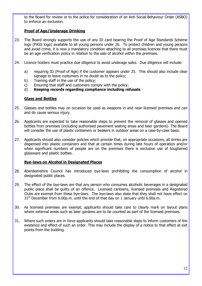to the Board for review or to the police for consideration of an Anti Social Behaviour Order (ASBO) to enforce an exclusion.

# Proof of Age/Underage Drinking

- 23. The Board strongly supports the use of any ID card bearing the Proof of Age Standards Scheme logo (PASS logo) available to all young persons under 26. To protect children and young persons and avoid crime, it is now a mandatory condition attaching to all premises licences that there must be an age verification policy in relation to the sale of alcohol within the premises.
- 24. Licence holders must practice due diligence to avoid underage sales. Due diligence will include:
	- a) requiring ID (Proof of Age) if the customer appears under 25. This should also include clear signage to leave customers in no doubt as to the policy;
	- b) Training staff in the use of the policy;
	- c) Ensuring that staff and customers comply with the policy;
	- d) Keeping records regarding compliance including refusals.

#### Glass and Bottles

- 25. Glasses and bottles may on occasion be used as weapons in and near licensed premises and can and do cause serious injury.
- 26. Applicants are expected to take reasonable steps to prevent the removal of glasses and opened bottles from premises (including authorised pavement seating areas and beer gardens). The Board will consider the use of plastic containers or beakers in outdoor areas on a case-by-case basis.
- 27. Applicants should also consider policies which provide that, on appropriate occasions, all drinks are dispensed into plastic containers and that at certain times during late hours of operation and/or when significant numbers of people are on the premises there is exclusive use of toughened glassware and plastic bottles.

#### Bye-laws on Alcohol in Designated Places

- 28. Aberdeenshire Council has introduced bye-laws prohibiting the consumption of alcohol in designated public places.
- 29. The effect of the bye-laws are that any person who consumes alcoholic beverages in a designated public place shall be guilty of an offence. Licensed canteens, licensed premises and Registered Clubs are exempt from these bye-laws. The bye-laws also state that they shall not have effect on  $31<sup>st</sup>$  December from 6.00p.m. until the end of that day on 1 January until 6.00a.m.
- 30. As licensed premises are exempt, applicants should take care to clearly mark on layout plans where external areas such as beer gardens are to be counted as part of the licensed premises.
- 31. Where such orders are in force applicants should take reasonable steps to inform customers of the existence and effect of such an order. This may include the display of a notice to that effect at exit points from the building.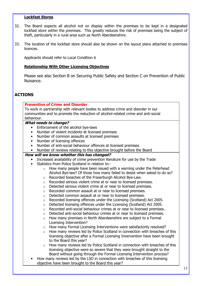#### Lockfast Stores

- 32. The Board expects all alcohol not on display within the premises to be kept in a designated lockfast store within the premises. This greatly reduces the risk of premises being the subject of theft, particularly in a rural area such as North Aberdeenshire.
- 33. The location of the lockfast store should also be shown on the layout plans attached to premises licences.

Applicants should refer to Local Condition 6

#### Relationship With Other Licensing Objectives

Please see also Section B on Securing Public Safety and Section C on Prevention of Public Nuisance.

# ACTIONS

#### Prevention of Crime and Disorder

To work in partnership with relevant bodies to address crime and disorder in our communities and to promote the reduction of alcohol-related crime and anti-social behaviour.

#### What needs to change?

- Enforcement of the alcohol bye-laws
- Number of violent incidents at licensed premises
- Number of common assaults at licensed premises
- Number of licensing offences
- Number of anti-social behaviour offences at licensed premises
- Number of reviews relating to this objective brought before the Board

#### How will we know whether this has changed?

- Increased availability of crime prevention literature for use by the Trade
- Statistics from Police Scotland in relation to:-
	- $\circ$  How many people have been issued with a warning under the Peterhead Alcohol Bye-law? Of those how many failed to desist when asked to do so?
	- o Recorded breaches of the Fraserburgh Alcohol Bye-Law.
	- o Recorded serious violent crime at or near to licensed premises.
	- o Detected serious violent crime at or near to licensed premises.
	- o Recorded common assault at or near to licensed premises.
	- o Detected common assault at or near to licensed premises.
	- o Recorded licensing offences under the Licensing (Scotland) Act 2005.
	- o Detected licensing offences under the Licensing (Scotland) Act 2005.
	- o Recorded anti-social behaviour crimes at or near to licensed premises.
	- o Detected anti-social behaviour crimes at or near to licensed premises.
	- o How many premises in North Aberdeenshire are subject to a Formal Licensing Intervention?
	- o How many Formal Licensing Interventions were satisfactorily resolved?
	- $\circ$  How many reviews led by Police Scotland in connection with breaches of this licensing objective after a Formal Licensing Invervention have been brought to the Board this year?
	- o How many reviews led by Police Scotland in connection with breaches of this licensing objective were so severe that they were brought straight to the Board without going through the Formal Licensing Intervention process?
- How many reviews led by the LSO in connection with breaches of this licensing objective have been brought to the Board this year?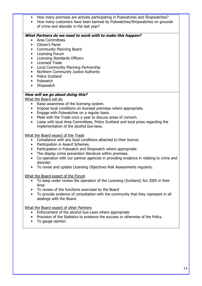- How many premises are actively participating in Pubwatches and Shopwatches?
- How many customers have been banned by Pubwatches/Shopwatches on grounds of crime and disorder in the last year?

#### What Partners do we need to work with to make this happen?

- Area Committees
- Citizen's Panel
- Community Planning Board
- Licensing Forum
- Licensing Standards Officers
- Licensed Trade
- Local Community Planning Partnership
- Northern Community Justice Authority
- Police Scotland
- Pubwatch
- Shopwatch

# How will we go about doing this?

What the Board will do

- Raise awareness of the licensing system.
- Impose local conditions on licensed premises where appropriate.
- Engage with Pubwatches on a regular basis.
- Meet with the Trade once a year to discuss areas of concern.
- Liaise with local Area Committees, Police Scotland and local press regarding the implementation of the alcohol bye-laws.

What the Board expect of the Trade

- Compliance with any local conditions attached to their licence.
- Participation in Award Schemes.
- Participation in Pubwatch and Shopwatch where appropriate.
- The display crime prevention literature within premises.
- Co-operation with our partner agencies in providing evidence in relating to crime and disorder.
- To revise and update Licensing Objectives Risk Assessments regularly.

What the Board expect of the Forum

- To keep under review the operation of the Licensing (Scotland) Act 2005 in their Area
- To review of the functions exercised by the Board
- To provide evidence of consultation with the community that they represent in all dealings with the Board.

What the Board expect of other Partners

- Enforcement of the alcohol bye-Laws where appropriate
- Provision of the Statistics to evidence the success or otherwise of the Policy.
- To gauge opinion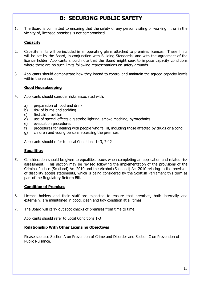# B: SECURING PUBLIC SAFETY

1. The Board is committed to ensuring that the safety of any person visiting or working in, or in the vicinity of, licensed premises is not compromised.

# **Capacity**

- 2. Capacity limits will be included in all operating plans attached to premises licences. These limits will be set by the Board, in conjunction with Building Standards, and with the agreement of the licence holder. Applicants should note that the Board might seek to impose capacity conditions where there are no such limits following representations on safety grounds.
- 3. Applicants should demonstrate how they intend to control and maintain the agreed capacity levels within the venue.

#### Good Housekeeping

- 4. Applicants should consider risks associated with:
	- a) preparation of food and drink
	- b) risk of burns and scalding
	- c) first aid provision
	- d) use of special effects e.g strobe lighting, smoke machine, pyrotechnics
	- e) evacuation procedures
	- f) procedures for dealing with people who fall ill, including those affected by drugs or alcohol
	- g) children and young persons accessing the premises

Applicants should refer to Local Conditions 1- 3, 7-12

#### **Equalities**

5. Consideration should be given to equalities issues when completing an application and related risk assessment. This section may be revised following the implementation of the provisions of the Criminal Justice (Scotland) Act 2010 and the Alcohol (Scotland) Act 2010 relating to the provision of disability access statements, which is being considered by the Scottish Parliament this term as part of the Regulatory Reform Bill.

#### Condition of Premises

- 6. Licence holders and their staff are expected to ensure that premises, both internally and externally, are maintained in good, clean and tidy condition at all times.
- 7. The Board will carry out spot checks of premises from time to time.

Applicants should refer to Local Conditions 1-3

#### Relationship With Other Licensing Objectives

Please see also Section A on Prevention of Crime and Disorder and Section C on Prevention of Public Nuisance.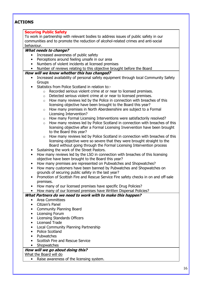# ACTIONS

#### Securing Public Safety

To work in partnership with relevant bodies to address issues of public safety in our communities and to promote the reduction of alcohol-related crimes and anti-social behaviour.

#### What needs to change?

- Increased awareness of public safety
- Perceptions around feeling unsafe in our area
- Numbers of violent incidents at licensed premises
- Number of reviews relating to this objective brought before the Board

#### How will we know whether this has changed?

- Increased availability of personal safety equipment through local Community Safety **Groups**
- Statistics from Police Scotland in relation to:
	- o Recorded serious violent crime at or near to licensed premises.
	- o Detected serious violent crime at or near to licensed premises.
	- $\circ$  How many reviews led by the Police in connection with breaches of this licensing objective have been brought to the Board this year?
	- o How many premises in North Aberdeenshire are subject to a Formal Licensing Intervention?
	- o How many Formal Licensing Interventions were satisfactorily resolved?
	- $\circ$  How many reviews led by Police Scotland in connection with breaches of this licensing objective after a Formal Licensing Invervention have been brought to the Board this year?
	- o How many reviews led by Police Scotland in connection with breaches of this licensing objective were so severe that they were brought straight to the Board without going through the Formal Licensing Intervention process
- Sustaining the work of the Street Pastors.
- How many reviews led by the LSO in connection with breaches of this licensing objective have been brought to the Board this year?
- How many premises are represented on Pubwatches and Shopwatches?
- How many customers have been banned by Pubwatches and Shopwatches on grounds of securing public safety in the last year?
- Promotion of Scottish Fire and Rescue Service Fire safety checks in on and off-sale premises.
- How many of our licensed premises have specific Drug Policies?

• How many of our licensed premises have Written Dispersal Policies?

### What Partners do we need to work with to make this happen?

- Area Committees
- Citizen's Panel
- Community Planning Board
- Licensing Forum
- Licensing Standards Officers
- Licensed Trade
- Local Community Planning Partnership
- Police Scotland
- Pubwatches
- Scottish Fire and Rescue Service
- Shopwatches

### How will we go about doing this?

What the Board will do

• Raise awareness of the licensing system.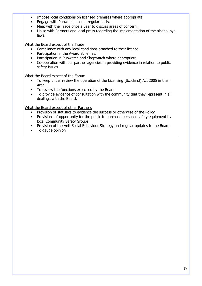- Impose local conditions on licensed premises where appropriate.
- Engage with Pubwatches on a regular basis.
- Meet with the Trade once a year to discuss areas of concern.
- Liaise with Partners and local press regarding the implementation of the alcohol byelaws.

What the Board expect of the Trade

- Compliance with any local conditions attached to their licence.
- Participation in the Award Schemes.
- Participation in Pubwatch and Shopwatch where appropriate.
- Co-operation with our partner agencies in providing evidence in relation to public safety issues.

What the Board expect of the Forum

- To keep under review the operation of the Licensing (Scotland) Act 2005 in their Area
- To review the functions exercised by the Board
- To provide evidence of consultation with the community that they represent in all dealings with the Board.

What the Board expect of other Partners

- Provision of statistics to evidence the success or otherwise of the Policy
- Provisions of opportunity for the public to purchase personal safety equipment by local Community Safety Groups
- Provision of the Anti-Social Behaviour Strategy and regular updates to the Board
- To gauge opinion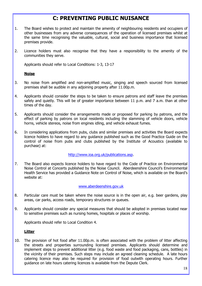# C: PREVENTING PUBLIC NUISANCE

- 1. The Board wishes to protect and maintain the amenity of neighbouring residents and occupiers of other businesses from any adverse consequences of the operation of licensed premises whilst at the same time recognising the valuable, cultural, social and business importance that licensed premises provide.
- 2. Licence holders must also recognise that they have a responsibility to the amenity of the communities they serve.

Applicants should refer to Local Conditions: 1-3, 13-17

#### **Noise**

- 3. No noise from amplified and non-amplified music, singing and speech sourced from licensed premises shall be audible in any adjoining property after 11.00p.m.
- 4. Applicants should consider the steps to be taken to ensure patrons and staff leave the premises safely and quietly. This will be of greater importance between 11 p.m. and 7 a.m. than at other times of the day.
- 5. Applicants should consider the arrangements made or proposed for parking by patrons, and the effect of parking by patrons on local residents including the slamming of vehicle doors, vehicle horns, vehicle stereos, noise from engines idling, and vehicle exhaust fumes.
- 6. In considering applications from pubs, clubs and similar premises and activities the Board expects licence holders to have regard to any guidance published such as the Good Practice Guide on the control of noise from pubs and clubs published by the Institute of Acoustics (available to purchase) at:

#### http://www.ioa.org.uk/publications.asp.

7. The Board also expects licence holders to have regard to the Code of Practice on Environmental Noise Control at Concerts published by the Noise Council. Aberdeenshire Council's Environmental Health Service has provided a Guidance Note on Control of Noise, which is available on the Board's website at:

#### www.aberdeenshire.gov.uk

- 8. Particular care must be taken where the noise source is in the open air, e.g. beer gardens, play areas, car parks, access roads, temporary structures or queues.
- 9. Applicants should consider any special measures that should be adopted in premises located near to sensitive premises such as nursing homes, hospitals or places of worship.

Applicants should refer to Local Condition 4.

#### Litter

10. The provision of hot food after 11.00p.m. is often associated with the problem of litter affecting the streets and properties surrounding licensed premises. Applicants should determine and implement steps to prevent additional litter (e.g. food waste and food packaging, cans, bottles) in the vicinity of their premises. Such steps may include an agreed cleaning schedule. A late hours catering licence may also be required for provision of food outwith operating hours. Further guidance on late hours catering licences is available from the Depute Clerk.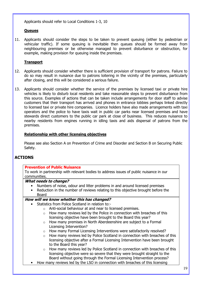Applicants should refer to Local Conditions 1-3, 10

#### **Oueues**

11. Applicants should consider the steps to be taken to prevent queuing (either by pedestrian or vehicular traffic). If some queuing is inevitable then queues should be formed away from neighbouring premises or be otherwise managed to prevent disturbance or obstruction, for example, making provision for queuing inside the premises.

### **Transport**

- 12. Applicants should consider whether there is sufficient provision of transport for patrons. Failure to do so may result in nuisance due to patrons loitering in the vicinity of the premises, particularly after closing, and this will be considered a serious failure.
- 13. Applicants should consider whether the service of the premises by licensed taxi or private hire vehicles is likely to disturb local residents and take reasonable steps to prevent disturbance from this source. Examples of actions that can be taken include arrangements for door staff to advise customers that their transport has arrived and phones in entrance lobbies perhaps linked directly to licensed taxi or private hire companies. Licence holders have also made arrangements with taxi operators and the police to have taxis wait in public car parks near licensed premises and have stewards direct customers to the public car park at close of business. This reduces nuisance to nearby residents from engines running in idling taxis and aids dispersal of patrons from the premises.

#### Relationship with other licensing objectives

Please see also Section A on Prevention of Crime and Disorder and Section B on Securing Public Safety.

# ACTIONS

#### Prevention of Public Nuisance

To work in partnership with relevant bodies to address issues of public nuisance in our communities.

#### What needs to change?

- Numbers of noise, odour and litter problems in and around licensed premises
- Reduction in the number of reviews relating to this objective brought before the Board

#### How will we know whether this has changed?

- Statistics from Police Scotland in relation to:
	- o Anti-social behaviour at and near to licensed premises.
	- $\circ$  How many reviews led by the Police in connection with breaches of this licensing objective have been brought to the Board this year?
	- o How many premises in North Aberdeenshire are subject to a Formal Licensing Intervention?
	- o How many Formal Licensing Interventions were satisfactorily resolved?
	- o How many reviews led by Police Scotland in connection with breaches of this licensing objective after a Formal Licensing Intervention have been brought to the Board this year?
	- $\circ$  How many reviews led by Police Scotland in connection with breaches of this licensing objective were so severe that they were brought straight to the Board without going through the Formal Licensing Intervention process?
- How many reviews led by the LSO in connection with breaches of this licensing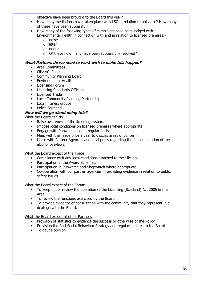objective have been brought to the Board this year?

- How many mediations have taken place with LSO in relation to nuisance? How many of these have been successful?
- How many of the following types of complaints have been lodged with Environmental Health in connection with and in relation to licensed premises:
	- o noise
	- o litter
	- o odour
	- o Of these how many have been successfully resolved?

### What Partners do we need to work with to make this happen?

- Area Committees
- Citizen's Panel
- Community Planning Board
- Environmental Health
- Licensing Forum
- Licensing Standards Officers
- Licensed Trade
- Local Community Planning Partnership
- Local interest groups
- Police Scotland

# How will we go about doing this?

What the Board can do

- Raise awareness of the licensing system.
- Impose local conditions on licensed premises where appropriate.
- Engage with Pubwatches on a regular basis.
- Meet with the Trade once a year to discuss areas of concern.
- Liaise with Partner Agencies and local press regarding the implementation of the alcohol bye-laws.

### What the Board expect of the Trade

- Compliance with any local conditions attached to their licence.
- Participation in the Award Schemes.
- Participation in Pubwatch and Shopwatch where appropriate.
- Co-operation with our partner agencies in providing evidence in relation to public safety issues.

### What the Board expect of the Forum

- To keep under review the operation of the Licensing (Scotland) Act 2005 in their Area
- To review the functions exercised by the Board
- To provide evidence of consultation with the community that they represent in all dealings with the Board.

### What the Board expect of other Partners

- Provision of statistics to evidence the success or otherwise of the Policy
- Provision the Anti-Social Behaviour Strategy and regular updates to the Board
- To gauge opinion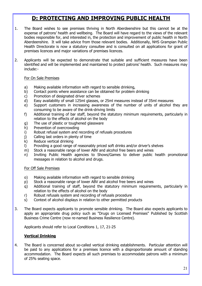# D: PROTECTING AND IMPROVING PUBLIC HEALTH

- 1. The Board wishes to see premises thriving in North Aberdeenshire but this cannot be at the expense of patrons' health and wellbeing. The Board will have regard to the views of the relevant bodies responsible for, and interested in, the protection and improvement of public health in North Aberdeenshire. It will take advice from those relevant bodies. Additionally, NHS Grampian Public Health Directorate is now a statutory consultee and is consulted on all applications for grant of premises licences and major variations of premises licences.
- 2. Applicants will be expected to demonstrate that suitable and sufficient measures have been identified and will be implemented and maintained to protect patrons' health. Such measures may include:-

#### For On Sale Premises

- a) Making available information with regard to sensible drinking,
- b) Contact points where assistance can be obtained for problem drinking
- c) Promotion of designated driver schemes
- d) Easy availability of small 125ml glasses, or 25ml measures instead of 35ml measures
- e) Support customers in increasing awareness of the number of units of alcohol they are consuming to be aware of the drink-driving limits
- f) Additional training of bar staff, beyond the statutory minimum requirements, particularly in relation to the effects of alcohol on the body
- g) The use of plastic or toughened glassware
- h) Prevention of overcrowding
- i) Robust refusal system and recording of refusals procedures
- j) Calling last orders in plenty of time
- k) Reduce vertical drinking
- l) Providing a good range of reasonably priced soft drinks and/or driver's shelves
- m) Stock a reasonable range of lower ABV and alcohol free beers and wines
- n) Inviting Public Health agencies to Shows/Games to deliver public health promotional messages in relation to alcohol and drugs.

#### For Off Sale Premises

- o) Making available information with regard to sensible drinking
- p) Stock a reasonable range of lower ABV and alcohol free beers and wines
- q) Additional training of staff, beyond the statutory minimum requirements, particularly in relation to the effects of alcohol on the body
- r) Robust refusals system and recording of refusals procedure
- s) Context of alcohol displays in relation to other permitted products
- 3. The Board expects applicants to promote sensible drinking. The Board also expects applicants to apply an appropriate drug policy such as "Drugs on Licensed Premises" Published by Scottish Business Crime Centre (now re-named Business Resilience Centre).

Applicants should refer to Local Conditions 1, 17, 21-25

### Vertical Drinking

4. The Board is concerned about so-called vertical drinking establishments. Particular attention will be paid to any applications for a premises licence with a disproportionate amount of standing accommodation. The Board expects all such premises to accommodate patrons with a minimum of 25% seating space.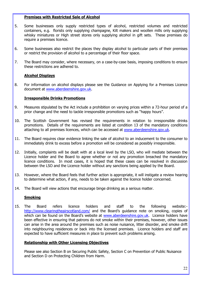#### Premises with Restricted Sale of Alcohol

- 5. Some businesses only supply restricted types of alcohol, restricted volumes and restricted containers, e.g. florists only supplying champagne, Kilt makers and woollen mills only supplying whisky miniatures or High street stores only supplying alcohol in gift sets. These premises do require a premises licence.
- 6. Some businesses also restrict the places they display alcohol to particular parts of their premises or restrict the provision of alcohol to a percentage of their floor space.
- 7. The Board may consider, where necessary, on a case-by-case basis, imposing conditions to ensure these restrictions are adhered to.

#### Alcohol Displays

8. For information on alcohol displays please see the Guidance on Applying for a Premises Licence document at www.aberdeenshire.gov.uk.

#### Irresponsible Drinks Promotions

- 9. Measures stipulated by the Act include a prohibition on varying prices within a 72-hour period of a prior change and the need to tackle irresponsible promotions such as "happy hours".
- 10. The Scottish Government has revised the requirements in relation to irresponsible drinks promotions. Details of the requirements are listed at condition 13 of the mandatory conditions attaching to all premises licences, which can be accessed at www.aberdeenshire.gov.uk.
- 11. The Board requires clear evidence linking the sale of alcohol to an inducement to the consumer to immediately drink to excess before a promotion will be considered as possibly irresponsible.
- 12. Initially, complaints will be dealt with at a local level by the LSO, who will mediate between the Licence holder and the Board to agree whether or not any promotion breached the mandatory licence conditions. In most cases, it is hoped that these cases can be resolved in discussion between the LSO and the Licence holder without any sanctions being applied by the Board.
- 13. However, where the Board feels that further action is appropriate, it will instigate a review hearing to determine what action, if any, needs to be taken against the licence holder concerned.
- 14. The Board will view actions that encourage binge drinking as a serious matter.

#### **Smoking**

15. The Board refers licence holders and staff to the following website: http://www.clearingtheairscotland.com/ and the Board's guidance note on smoking, copies of which can be found on the Board's website at www.aberdeenshire.gov.uk. Licence holders have been effective in ensuring that patrons do not smoke within their premises, however, other issues can arise in the area around the premises such as noise nuisance, litter disorder, and smoke drift into neighbouring residences or back into the licensed premises. Licence holders and staff are expected to have sufficient measures in place to prevent such problems arising.

#### Relationship with Other Licensing Objectives

Please see also Section B on Securing Public Safety, Section C on Prevention of Public Nuisance and Section D on Protecting Children from Harm.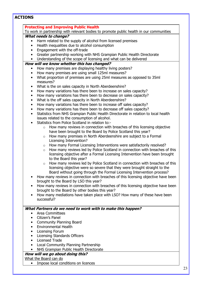|                                               | <b>ACTIONS</b>                                                                          |  |
|-----------------------------------------------|-----------------------------------------------------------------------------------------|--|
| <b>Protecting and Improving Public Health</b> |                                                                                         |  |
|                                               | To work in partnership with relevant bodies to promote public health in our communities |  |
|                                               | <b>What needs to change?</b>                                                            |  |
| $\bullet$                                     | Harm related to the supply of alcohol from licensed premises                            |  |
|                                               | Health inequalities due to alcohol consumption                                          |  |
| $\bullet$                                     | Engagement with the off-trade                                                           |  |
| $\bullet$                                     | Greater partnership working with NHS Grampian Public Health Directorate                 |  |
| $\bullet$                                     | Understanding of the scope of licensing and what can be delivered                       |  |
|                                               | How will we know whether this has changed?                                              |  |
|                                               | How many premises are displaying healthy living posters?                                |  |
| $\bullet$                                     | How many premises are using small 125ml measures?                                       |  |
| $\bullet$                                     | What proportion of premises are using 25ml measures as opposed to 35ml                  |  |
|                                               | measures?                                                                               |  |
|                                               | What is the on sales capacity in North Aberdeenshire?                                   |  |
| $\bullet$                                     | How many variations has there been to increase on sales capacity?                       |  |
| $\bullet$                                     | How many variations has there been to decrease on sales capacity?                       |  |
| $\bullet$                                     | What is the off sales capacity in North Aberdeenshire?                                  |  |
| $\bullet$                                     | How many variations has there been to increase off sales capacity?                      |  |
| $\bullet$                                     | How many variations has there been to decrease off sales capacity?                      |  |
|                                               | Statistics from NHS Grampian Public Health Directorate in relation to local health      |  |
|                                               | issues related to the consumption of alcohol.                                           |  |
|                                               | Statistics from Police Scotland in relation to:-                                        |  |
|                                               | How many reviews in connection with breaches of this licensing objective<br>$\circ$     |  |
|                                               | have been brought to the Board by Police Scotland this year?                            |  |
|                                               | How many premises in North Aberdeenshire are subject to a Formal<br>$\circ$             |  |
|                                               | Licensing Intervention?                                                                 |  |
|                                               | How many Formal Licensing Interventions were satisfactorily resolved?<br>$\circ$        |  |
|                                               | How many reviews led by Police Scotland in connection with breaches of this<br>$\circ$  |  |
|                                               | licensing objective after a Formal Licensing Intervention have been brought             |  |
|                                               | to the Board this year?                                                                 |  |
|                                               | How many reviews led by Police Scotland in connection with breaches of this<br>$\circ$  |  |
|                                               | licensing objective were so severe that they were brought straight to the               |  |
|                                               | Board without going through the Formal Licensing Intervention process?                  |  |
|                                               | How many reviews in connection with breaches of this licensing objective have been      |  |
|                                               | brought to the Board by LSO this year?                                                  |  |
|                                               | How many reviews in connection with breaches of this licensing objective have been      |  |
|                                               | brought to the Board by other bodies this year?                                         |  |
|                                               | How many mediations have taken place with LSO? How many of these have been              |  |
|                                               | successful?                                                                             |  |
|                                               | What Partners do we need to work with to make this happen?                              |  |
|                                               | Area Committees                                                                         |  |
| $\bullet$                                     | Citizen's Panel                                                                         |  |
| $\bullet$                                     | <b>Community Planning Board</b>                                                         |  |
|                                               | <b>Environmental Health</b>                                                             |  |
| $\bullet$                                     | <b>Licensing Forum</b>                                                                  |  |
|                                               | Licensing Standards Officers                                                            |  |
| $\bullet$                                     | <b>Licensed Trade</b>                                                                   |  |
|                                               |                                                                                         |  |
|                                               |                                                                                         |  |
|                                               | Local Community Planning Partnership<br>NHS Grampian Public Health Directorate          |  |

• Impose local conditions on licences

23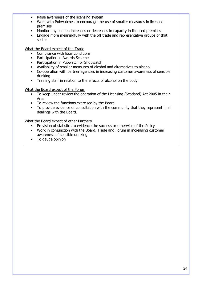- Raise awareness of the licensing system
- Work with Pubwatches to encourage the use of smaller measures in licensed premises
- Monitor any sudden increases or decreases in capacity in licensed premises
- Engage more meaningfully with the off trade and representative groups of that sector

#### What the Board expect of the Trade

- Compliance with local conditions
- Participation in Awards Scheme
- Participation in Pubwatch or Shopwatch
- Availability of smaller measures of alcohol and alternatives to alcohol
- Co-operation with partner agencies in increasing customer awareness of sensible drinking
- Training staff in relation to the effects of alcohol on the body.

#### What the Board expect of the Forum

- To keep under review the operation of the Licensing (Scotland) Act 2005 in their Area
- To review the functions exercised by the Board
- To provide evidence of consultation with the community that they represent in all dealings with the Board.

#### What the Board expect of other Partners

- Provision of statistics to evidence the success or otherwise of the Policy
- Work in conjunction with the Board, Trade and Forum in increasing customer awareness of sensible drinking
- To gauge opinion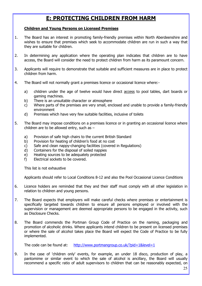# E: PROTECTING CHILDREN FROM HARM

#### Children and Young Persons on Licensed Premises

- 1. The Board has an interest in promoting family-friendly premises within North Aberdeenshire and wishes to ensure that premises which seek to accommodate children are run in such a way that they are suitable for children.
- 2. In determining any application where the operating plan indicates that children are to have access, the Board will consider the need to protect children from harm as its paramount concern.
- 3. Applicants will require to demonstrate that suitable and sufficient measures are in place to protect children from harm.
- 4. The Board will not normally grant a premises licence or occasional licence where:
	- a) children under the age of twelve would have direct access to pool tables, dart boards or gaming machines.
	- b) There is an unsuitable character or atmosphere
	- c) Where parts of the premises are very small, enclosed and unable to provide a family-friendly environment
	- d) Premises which have very few suitable facilities, inclusive of toilets
- 5. The Board may impose conditions on a premises licence or in granting an occasional licence where children are to be allowed entry, such as –
	- a) Provision of safe high chairs to the current British Standard
	- b) Provision for heating of children's food at no cost
	- c) Safe and clean nappy-changing facilities (covered in Regulations)
	- d) Containers for the disposal of soiled nappies
	- e) Heating sources to be adequately protected
	- f) Electrical sockets to be covered.

This list is not exhaustive

Applicants should refer to Local Conditions 8-12 and also the Pool Occasional Licence Conditions

- 6. Licence holders are reminded that they and their staff must comply with all other legislation in relation to children and young persons.
- 7. The Board expects that employers will make careful checks where premises or entertainment is specifically targeted towards children to ensure all persons employed or involved with the supervision or management are deemed appropriate persons to be engaged in the activity, such as Disclosure Checks.
- 8. The Board commends the Portman Group Code of Practice on the naming, packaging and promotion of alcoholic drinks. Where applicants intend children to be present on licensed premises or where the sale of alcohol takes place the Board will expect the Code of Practice to be fully implemented.

The code can be found at: http://www.portmangroup.co.uk/?pid=1&level=1

9. In the case of 'children only' events, for example, an under 18 disco, production of play, a pantomime or similar event to which the sale of alcohol is ancillary, the Board will usually recommend a specific ratio of adult supervisors to children that can be reasonably expected, on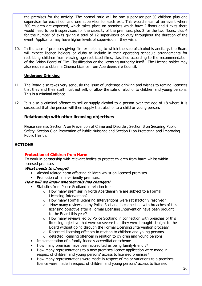the premises for the activity. The normal ratio will be one supervisor per 50 children plus one supervisor for each floor and one supervisor for each exit. This would mean at an event where 300 children are expected, which takes place on premises which have 2 floors and 4 exits there would need to be 6 supervisors for the capacity of the premises, plus 2 for the two floors, plus 4 for the number of exits giving a total of 12 supervisors on duty throughout the duration of the event. Applicants may have higher levels of supervision if they wish.

10. In the case of premises giving film exhibitions, to which the sale of alcohol is ancillary, the Board will expect licence holders or clubs to include in their operating schedule arrangements for restricting children from viewing age restricted films, classified according to the recommendation of the British Board of Film Classification or the licensing authority itself. The Licence holder may also require to obtain a Cinema Licence from Aberdeenshire Council.

# Underage Drinking

- 11. The Board also takes very seriously the issue of underage drinking and wishes to remind licensees that they and their staff must not sell, or allow the sale of alcohol to children and young persons. This is a criminal offence.
- 12. It is also a criminal offence to sell or supply alcohol to a person over the age of 18 where it is suspected that the person will then supply that alcohol to a child or young person.

# Relationship with other licensing objectives

Please see also Section A on Prevention of Crime and Disorder, Section B on Securing Public Safety, Section C on Prevention of Public Nuisance and Section D on Protecting and Improving Public Health.

# ACTIONS

### Protection of Children from Harm

To work in partnership with relevant bodies to protect children from harm whilst within licensed premises

#### What needs to change?

- Alcohol related harm affecting children whilst on licensed premises
- Promotion of family-friendly premises.

### How will we know whether this has changed?

- Statistics from Police Scotland in relation to:
	- o How many premises in North Aberdeenshire are subject to a Formal Licensing Intervention?
	- o How many Formal Licensing Interventions were satisfactorily resolved?
	- $\circ$  How many reviews led by Police Scotland in connection with breaches of this licensing objective after a Formal Licensing Intervention have been brought to the Board this year?
	- $\circ$  How many reviews led by Police Scotland in connection with breaches of this licensing objective that were so severe that they were brought straight to the Board without going through the Formal Licensing Intervention process?
	- o Recorded licensing offences in relation to children and young persons.
	- o detected licensing offences in relation to children and young persons.
	- Implementation of a family-friendly accreditation scheme
	- How many premises have been accredited as being family-friendly?
	- How many representations to a new premises licence application were made in respect of children and young persons' access to licensed premises?
	- How many representations were made in respect of major variations to a premises licence were made in respect of children and young persons' access to licensed